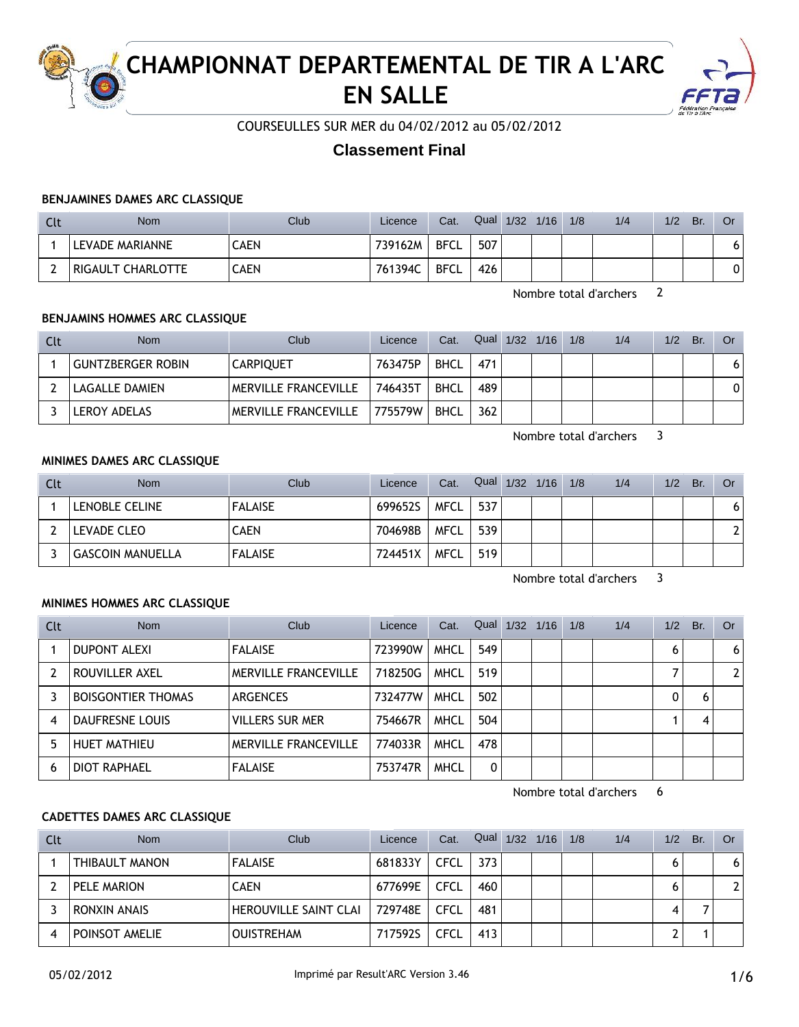

# **CHAMPIONNAT DEPARTEMENTAL DE TIR A L'ARC EN SALLE**



COURSEULLES SUR MER du 04/02/2012 au 05/02/2012

## **Classement Final**

#### **BENJAMINES DAMES ARC CLASSIQUE**

| Clt | <b>Nom</b>        | Club | Licence | Cat.        | Qual | 1/32 | 1/16 | 1/8 | 1/4 | 1/2 | Br. | Or |
|-----|-------------------|------|---------|-------------|------|------|------|-----|-----|-----|-----|----|
|     | LEVADE MARIANNE   | CAEN | 739162M | <b>BFCL</b> | 507  |      |      |     |     |     |     | יס |
|     | RIGAULT CHARLOTTE | CAEN | 761394C | <b>BFCL</b> | 426  |      |      |     |     |     |     | 0  |

Nombre total d'archers 2

### **BENJAMINS HOMMES ARC CLASSIQUE**

| Clt | Nom                      | Club                        | Licence | Cat.        | Qual | $1/32$ $1/16$ | 1/8 | 1/4 | 1/2 | Br. | 0r |
|-----|--------------------------|-----------------------------|---------|-------------|------|---------------|-----|-----|-----|-----|----|
|     | <b>GUNTZBERGER ROBIN</b> | <b>CARPIQUET</b>            | 763475P | <b>BHCL</b> | 471  |               |     |     |     |     | 6  |
|     | LAGALLE DAMIEN           | MERVILLE FRANCEVILLE        | 746435T | <b>BHCL</b> | 489  |               |     |     |     |     | 0  |
|     | LEROY ADELAS             | <b>MERVILLE FRANCEVILLE</b> | 775579W | <b>BHCL</b> | 362  |               |     |     |     |     |    |

Nombre total d'archers 3

#### **MINIMES DAMES ARC CLASSIQUE**

| Clt | <b>Nom</b>       | Club           | Licence | Cat.        | Qual 1/32 1/16 |  | 1/8 | 1/4 | 1/2 | Br. | 0r |
|-----|------------------|----------------|---------|-------------|----------------|--|-----|-----|-----|-----|----|
|     | LENOBLE CELINE   | <b>FALAISE</b> | 699652S | <b>MFCL</b> | 537            |  |     |     |     |     | 6  |
|     | LEVADE CLEO      | CAEN           | 704698B | <b>MFCL</b> | 539            |  |     |     |     |     |    |
|     | GASCOIN MANUELLA | <b>FALAISE</b> | 724451X | <b>MFCL</b> | 519            |  |     |     |     |     |    |

Nombre total d'archers 3

## **MINIMES HOMMES ARC CLASSIQUE**

| Clt | <b>Nom</b>                | Club                        | Licence | Cat.        | Qual | 1/32 | 1/16 | 1/8 | 1/4 | 1/2 | Br. | Or           |
|-----|---------------------------|-----------------------------|---------|-------------|------|------|------|-----|-----|-----|-----|--------------|
|     | <b>DUPONT ALEXI</b>       | <b>FALAISE</b>              | 723990W | <b>MHCL</b> | 549  |      |      |     |     | 6   |     | 6            |
|     | ROUVILLER AXEL            | <b>MERVILLE FRANCEVILLE</b> | 718250G | <b>MHCL</b> | 519  |      |      |     |     |     |     | $\mathbf{2}$ |
|     | <b>BOISGONTIER THOMAS</b> | <b>ARGENCES</b>             | 732477W | <b>MHCL</b> | 502  |      |      |     |     |     | 6   |              |
| 4   | DAUFRESNE LOUIS           | <b>VILLERS SUR MER</b>      | 754667R | <b>MHCL</b> | 504  |      |      |     |     |     |     |              |
| 5   | <b>HUET MATHIEU</b>       | MERVILLE FRANCEVILLE        | 774033R | <b>MHCL</b> | 478  |      |      |     |     |     |     |              |
| 6   | <b>DIOT RAPHAEL</b>       | <b>FALAISE</b>              | 753747R | <b>MHCL</b> | 0    |      |      |     |     |     |     |              |

Nombre total d'archers 6

## **CADETTES DAMES ARC CLASSIQUE**

| Clt | <b>Nom</b>     | Club                  | Licence | Cat.        | Qual | 1/32 | 1/16 | 1/8 | 1/4 | 1/2 | Br. | Or                    |
|-----|----------------|-----------------------|---------|-------------|------|------|------|-----|-----|-----|-----|-----------------------|
|     | THIBAULT MANON | <b>FALAISE</b>        | 681833Y | CFCL        | 373  |      |      |     |     |     |     | 6                     |
|     | PELE MARION    | <b>CAEN</b>           | 677699E | CFCL        | 460  |      |      |     |     |     |     | $\mathbf{2}^{\prime}$ |
|     | RONXIN ANAIS   | HEROUVILLE SAINT CLAI | 729748E | <b>CFCL</b> | 481  |      |      |     |     |     |     |                       |
|     | POINSOT AMELIE | <b>OUISTREHAM</b>     | 717592S | CFCL        | 413  |      |      |     |     |     |     |                       |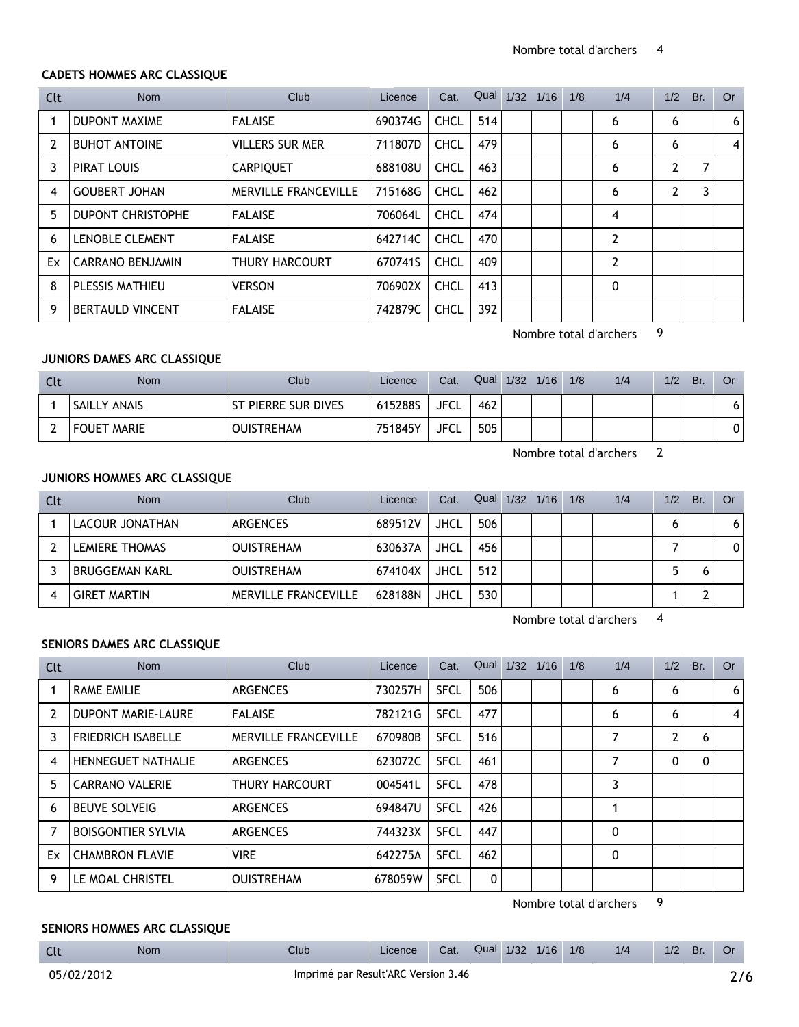### **CADETS HOMMES ARC CLASSIQUE**

| Clt | <b>Nom</b>               | Club                        | Licence | Cat.        | Qual | 1/32 | 1/16 | 1/8 | 1/4            | 1/2 | Br. | <b>Or</b> |
|-----|--------------------------|-----------------------------|---------|-------------|------|------|------|-----|----------------|-----|-----|-----------|
|     | <b>DUPONT MAXIME</b>     | <b>FALAISE</b>              | 690374G | <b>CHCL</b> | 514  |      |      |     | 6              | 6   |     | 6         |
| 2   | <b>BUHOT ANTOINE</b>     | <b>VILLERS SUR MER</b>      | 711807D | <b>CHCL</b> | 479  |      |      |     | 6              | 6   |     | 4         |
| 3   | PIRAT LOUIS              | <b>CARPIQUET</b>            | 688108U | <b>CHCL</b> | 463  |      |      |     | 6              | 2   |     |           |
| 4   | <b>GOUBERT JOHAN</b>     | <b>MERVILLE FRANCEVILLE</b> | 715168G | <b>CHCL</b> | 462  |      |      |     | 6              | 2   | 3   |           |
| 5.  | <b>DUPONT CHRISTOPHE</b> | <b>FALAISE</b>              | 706064L | <b>CHCL</b> | 474  |      |      |     | 4              |     |     |           |
| 6   | <b>LENOBLE CLEMENT</b>   | <b>FALAISE</b>              | 642714C | <b>CHCL</b> | 470  |      |      |     | $\overline{2}$ |     |     |           |
| Ex  | CARRANO BENJAMIN         | THURY HARCOURT              | 670741S | <b>CHCL</b> | 409  |      |      |     | 2              |     |     |           |
| 8   | PLESSIS MATHIEU          | <b>VERSON</b>               | 706902X | <b>CHCL</b> | 413  |      |      |     | 0              |     |     |           |
| 9   | <b>BERTAULD VINCENT</b>  | <b>FALAISE</b>              | 742879C | <b>CHCL</b> | 392  |      |      |     |                |     |     |           |

Nombre total d'archers 9

## **JUNIORS DAMES ARC CLASSIQUE**

| Clt | <b>Nom</b>         | Club                | Licence | Cat.        | Qual | 1/32 | 1/16 | 1/8 | 1/4 | 1/2 | Br. | 0r |
|-----|--------------------|---------------------|---------|-------------|------|------|------|-----|-----|-----|-----|----|
|     | SAILLY ANAIS       | ST PIERRE SUR DIVES | 615288S | <b>JFCL</b> | 462  |      |      |     |     |     |     | 6  |
|     | <b>FOUET MARIE</b> | <b>OUISTREHAM</b>   | 751845Y | <b>JFCL</b> | 505  |      |      |     |     |     |     | 0  |

Nombre total d'archers 2

## **JUNIORS HOMMES ARC CLASSIQUE**

| Clt | <b>Nom</b>            | Club                        | Licence | Cat.        | Qual | 1/32 | 1/16 | 1/8 | 1/4 | 1/2 | Br. | Or |
|-----|-----------------------|-----------------------------|---------|-------------|------|------|------|-----|-----|-----|-----|----|
|     | LACOUR JONATHAN       | <b>ARGENCES</b>             | 689512V | <b>JHCL</b> | 506  |      |      |     |     |     |     | 6  |
|     | <b>LEMIERE THOMAS</b> | <b>OUISTREHAM</b>           | 630637A | JHCL        | 456  |      |      |     |     |     |     |    |
|     | <b>BRUGGEMAN KARL</b> | <b>OUISTREHAM</b>           | 674104X | <b>JHCL</b> | 512  |      |      |     |     |     |     |    |
|     | <b>GIRET MARTIN</b>   | <b>MERVILLE FRANCEVILLE</b> | 628188N | <b>JHCL</b> | 530  |      |      |     |     |     |     |    |

Nombre total d'archers 4

### **SENIORS DAMES ARC CLASSIQUE**

| Clt | <b>Nom</b>                | Club                        | Licence | Cat.        | Qual | 1/32 | 1/16 | 1/8 | 1/4 | 1/2            | Br. | Or |
|-----|---------------------------|-----------------------------|---------|-------------|------|------|------|-----|-----|----------------|-----|----|
|     | <b>RAME EMILIE</b>        | <b>ARGENCES</b>             | 730257H | <b>SFCL</b> | 506  |      |      |     | 6   | 6              |     | 6  |
| 2   | <b>DUPONT MARIE-LAURE</b> | <b>FALAISE</b>              | 782121G | <b>SFCL</b> | 477  |      |      |     | 6   | 6              |     | 4  |
| 3   | <b>FRIEDRICH ISABELLE</b> | <b>MERVILLE FRANCEVILLE</b> | 670980B | <b>SFCL</b> | 516  |      |      |     | 7   | $\overline{2}$ | 6   |    |
| 4   | <b>HENNEGUET NATHALIE</b> | <b>ARGENCES</b>             | 623072C | <b>SFCL</b> | 461  |      |      |     | 7   | $\mathbf{0}$   | 0   |    |
| 5.  | <b>CARRANO VALERIE</b>    | THURY HARCOURT              | 004541L | <b>SFCL</b> | 478  |      |      |     | 3   |                |     |    |
| 6   | <b>BEUVE SOLVEIG</b>      | <b>ARGENCES</b>             | 694847U | <b>SFCL</b> | 426  |      |      |     |     |                |     |    |
| 7   | <b>BOISGONTIER SYLVIA</b> | <b>ARGENCES</b>             | 744323X | <b>SFCL</b> | 447  |      |      |     | 0   |                |     |    |
| Ex  | <b>CHAMBRON FLAVIE</b>    | <b>VIRE</b>                 | 642275A | <b>SFCL</b> | 462  |      |      |     | 0   |                |     |    |
| 9   | LE MOAL CHRISTEL          | <b>OUISTREHAM</b>           | 678059W | <b>SFCL</b> | 0    |      |      |     |     |                |     |    |

Nombre total d'archers 9

Licence Cat. Qual 1/32 1/16 1/8 1/4 1/2 Br. Or

#### **SENIORS HOMMES ARC CLASSIQUE**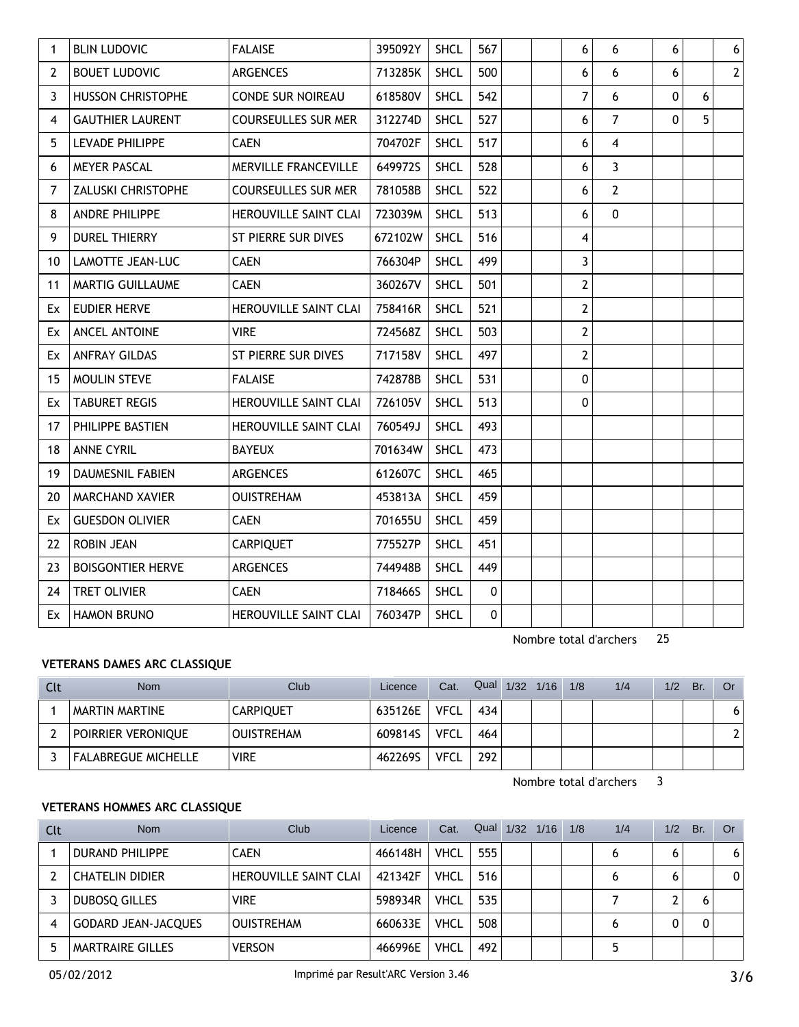| 1            | <b>BLIN LUDOVIC</b>       | <b>FALAISE</b>               | 395092Y | <b>SHCL</b> | 567          |  | 6                       | 6                       | 6 |   | $\boldsymbol{6}$ |
|--------------|---------------------------|------------------------------|---------|-------------|--------------|--|-------------------------|-------------------------|---|---|------------------|
| $\mathbf{2}$ | <b>BOUET LUDOVIC</b>      | <b>ARGENCES</b>              | 713285K | <b>SHCL</b> | 500          |  | 6                       | 6                       | 6 |   | $\overline{2}$   |
| $\mathbf{3}$ | <b>HUSSON CHRISTOPHE</b>  | <b>CONDE SUR NOIREAU</b>     | 618580V | <b>SHCL</b> | 542          |  | $\overline{7}$          | 6                       | 0 | 6 |                  |
| 4            | <b>GAUTHIER LAURENT</b>   | <b>COURSEULLES SUR MER</b>   | 312274D | <b>SHCL</b> | 527          |  | 6                       | $\overline{7}$          | 0 | 5 |                  |
| 5            | LEVADE PHILIPPE           | <b>CAEN</b>                  | 704702F | <b>SHCL</b> | 517          |  | 6                       | $\overline{\mathbf{4}}$ |   |   |                  |
| 6            | <b>MEYER PASCAL</b>       | MERVILLE FRANCEVILLE         | 649972S | <b>SHCL</b> | 528          |  | 6                       | $\overline{3}$          |   |   |                  |
| 7            | <b>ZALUSKI CHRISTOPHE</b> | <b>COURSEULLES SUR MER</b>   | 781058B | <b>SHCL</b> | 522          |  | 6                       | $\overline{2}$          |   |   |                  |
| 8            | <b>ANDRE PHILIPPE</b>     | <b>HEROUVILLE SAINT CLAI</b> | 723039M | <b>SHCL</b> | 513          |  | 6                       | $\pmb{0}$               |   |   |                  |
| 9            | <b>DUREL THIERRY</b>      | ST PIERRE SUR DIVES          | 672102W | <b>SHCL</b> | 516          |  | 4                       |                         |   |   |                  |
| 10           | LAMOTTE JEAN-LUC          | <b>CAEN</b>                  | 766304P | <b>SHCL</b> | 499          |  | 3                       |                         |   |   |                  |
| 11           | MARTIG GUILLAUME          | <b>CAEN</b>                  | 360267V | <b>SHCL</b> | 501          |  | $\overline{2}$          |                         |   |   |                  |
| Ex           | <b>EUDIER HERVE</b>       | <b>HEROUVILLE SAINT CLAI</b> | 758416R | <b>SHCL</b> | 521          |  | $\overline{2}$          |                         |   |   |                  |
|              | Ex ANCEL ANTOINE          | <b>VIRE</b>                  | 724568Z | <b>SHCL</b> | 503          |  | $\overline{\mathbf{c}}$ |                         |   |   |                  |
| Ex           | <b>ANFRAY GILDAS</b>      | ST PIERRE SUR DIVES          | 717158V | <b>SHCL</b> | 497          |  | $\mathbf{2}$            |                         |   |   |                  |
| 15           | <b>MOULIN STEVE</b>       | <b>FALAISE</b>               | 742878B | <b>SHCL</b> | 531          |  | 0                       |                         |   |   |                  |
| Ex           | <b>TABURET REGIS</b>      | HEROUVILLE SAINT CLAI        | 726105V | <b>SHCL</b> | 513          |  | $\Omega$                |                         |   |   |                  |
| 17           | PHILIPPE BASTIEN          | HEROUVILLE SAINT CLAI        | 760549J | <b>SHCL</b> | 493          |  |                         |                         |   |   |                  |
| 18           | <b>ANNE CYRIL</b>         | <b>BAYEUX</b>                | 701634W | <b>SHCL</b> | 473          |  |                         |                         |   |   |                  |
| 19           | <b>DAUMESNIL FABIEN</b>   | <b>ARGENCES</b>              | 612607C | <b>SHCL</b> | 465          |  |                         |                         |   |   |                  |
| 20           | <b>MARCHAND XAVIER</b>    | <b>OUISTREHAM</b>            | 453813A | <b>SHCL</b> | 459          |  |                         |                         |   |   |                  |
| Ex           | <b>GUESDON OLIVIER</b>    | <b>CAEN</b>                  | 701655U | <b>SHCL</b> | 459          |  |                         |                         |   |   |                  |
| 22           | <b>ROBIN JEAN</b>         | <b>CARPIQUET</b>             | 775527P | <b>SHCL</b> | 451          |  |                         |                         |   |   |                  |
| 23           | <b>BOISGONTIER HERVE</b>  | <b>ARGENCES</b>              | 744948B | <b>SHCL</b> | 449          |  |                         |                         |   |   |                  |
| 24           | <b>TRET OLIVIER</b>       | <b>CAEN</b>                  | 718466S | <b>SHCL</b> | $\mathbf{0}$ |  |                         |                         |   |   |                  |
|              | Ex HAMON BRUNO            | HEROUVILLE SAINT CLAI        | 760347P | <b>SHCL</b> | 0            |  |                         |                         |   |   |                  |

Nombre total d'archers 25

## **VETERANS DAMES ARC CLASSIQUE**

| Clt | <b>Nom</b>                 | Club              | Licence | Cat.        | Qual 1/32 1/16 |  | 1/8 | 1/4 | 1/2 | Br. | Or |
|-----|----------------------------|-------------------|---------|-------------|----------------|--|-----|-----|-----|-----|----|
|     | MARTIN MARTINE             | <b>CARPIQUET</b>  | 635126E | VFCL        | 434            |  |     |     |     |     |    |
|     | POIRRIER VERONIQUE         | <b>OUISTREHAM</b> | 609814S | VFCL        | 464            |  |     |     |     |     |    |
|     | <b>FALABREGUE MICHELLE</b> | <b>VIRE</b>       | 462269S | <b>VFCL</b> | 292            |  |     |     |     |     |    |

Nombre total d'archers 3

## **VETERANS HOMMES ARC CLASSIQUE**

| Clt | <b>Nom</b>                 | Club                         | Licence | Cat.        | Qual | 1/32 | 1/16 | 1/8 | 1/4 | 1/2 | Br. | Or |
|-----|----------------------------|------------------------------|---------|-------------|------|------|------|-----|-----|-----|-----|----|
|     | <b>DURAND PHILIPPE</b>     | <b>CAEN</b>                  | 466148H | <b>VHCL</b> | 555  |      |      |     |     |     |     | 6  |
|     | <b>CHATELIN DIDIER</b>     | <b>HEROUVILLE SAINT CLAI</b> | 421342F | <b>VHCL</b> | 516  |      |      |     |     |     |     | 0  |
|     | DUBOSO GILLES              | <b>VIRE</b>                  | 598934R | <b>VHCL</b> | 535  |      |      |     |     |     |     |    |
|     | <b>GODARD JEAN-JACQUES</b> | <b>OUISTREHAM</b>            | 660633E | <b>VHCL</b> | 508  |      |      |     |     |     |     |    |
|     | MARTRAIRE GILLES           | <b>VERSON</b>                | 466996E | <b>VHCL</b> | 492  |      |      |     |     |     |     |    |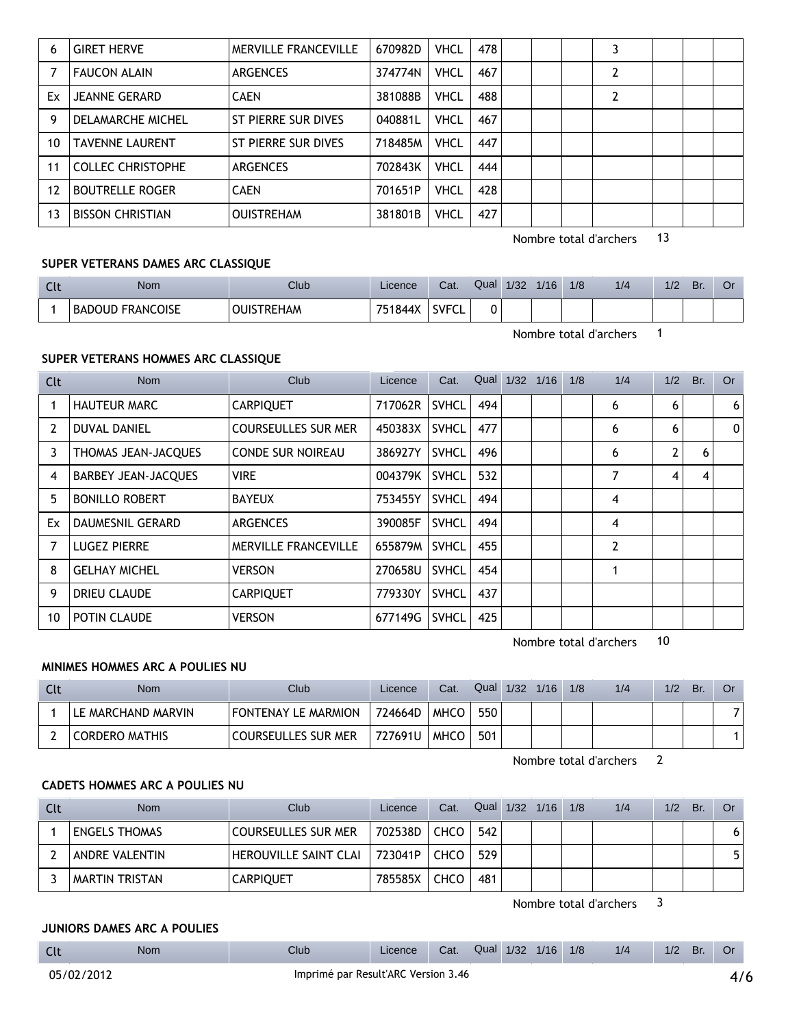| 6  | <b>GIRET HERVE</b>       | <b>MERVILLE FRANCEVILLE</b> | 670982D | <b>VHCL</b> | 478 |  |  |  |  |
|----|--------------------------|-----------------------------|---------|-------------|-----|--|--|--|--|
|    | <b>FAUCON ALAIN</b>      | <b>ARGENCES</b>             | 374774N | <b>VHCL</b> | 467 |  |  |  |  |
| Ex | <b>JEANNE GERARD</b>     | <b>CAEN</b>                 | 381088B | <b>VHCL</b> | 488 |  |  |  |  |
| 9  | DELAMARCHE MICHEL        | ST PIERRE SUR DIVES         | 040881L | <b>VHCL</b> | 467 |  |  |  |  |
| 10 | <b>TAVENNE LAURENT</b>   | ST PIERRE SUR DIVES         | 718485M | <b>VHCL</b> | 447 |  |  |  |  |
| 11 | <b>COLLEC CHRISTOPHE</b> | <b>ARGENCES</b>             | 702843K | <b>VHCL</b> | 444 |  |  |  |  |
| 12 | <b>BOUTRELLE ROGER</b>   | <b>CAEN</b>                 | 701651P | VHCL        | 428 |  |  |  |  |
| 13 | <b>BISSON CHRISTIAN</b>  | <b>OUISTREHAM</b>           | 381801B | <b>VHCL</b> | 427 |  |  |  |  |

Nombre total d'archers 13

#### **SUPER VETERANS DAMES ARC CLASSIQUE**

| นเ | <b>Nom</b>              | Club           | Licence | Cat.         | Qual | 1/32 | 1/16 | 1/8 | 1/2 | 1/2 | Br. |  |
|----|-------------------------|----------------|---------|--------------|------|------|------|-----|-----|-----|-----|--|
|    | <b>BADOUD FRANCOISE</b> | <b>STREHAM</b> | 751844X | <b>SVFCL</b> |      |      |      |     |     |     |     |  |

Nombre total d'archers 1

## **SUPER VETERANS HOMMES ARC CLASSIQUE**

| Clt            | <b>Nom</b>                 | Club                        | Licence | Cat.         |     | Qual $1/32$ | 1/16 | 1/8 | 1/4 | 1/2            | Br. | 0r          |
|----------------|----------------------------|-----------------------------|---------|--------------|-----|-------------|------|-----|-----|----------------|-----|-------------|
|                | <b>HAUTEUR MARC</b>        | <b>CARPIQUET</b>            | 717062R | <b>SVHCL</b> | 494 |             |      |     | 6   | 6              |     | 6           |
| 2              | <b>DUVAL DANIEL</b>        | <b>COURSEULLES SUR MER</b>  | 450383X | <b>SVHCL</b> | 477 |             |      |     | 6   | 6              |     | $\mathbf 0$ |
| 3              | THOMAS JEAN-JACQUES        | <b>CONDE SUR NOIREAU</b>    | 386927Y | <b>SVHCL</b> | 496 |             |      |     | 6   | $\overline{2}$ | 6   |             |
| $\overline{4}$ | <b>BARBEY JEAN-JACQUES</b> | <b>VIRE</b>                 | 004379K | <b>SVHCL</b> | 532 |             |      |     | 7   | 4              | 4   |             |
| 5.             | <b>BONILLO ROBERT</b>      | <b>BAYEUX</b>               | 753455Y | <b>SVHCL</b> | 494 |             |      |     | 4   |                |     |             |
| Ex             | <b>DAUMESNIL GERARD</b>    | <b>ARGENCES</b>             | 390085F | <b>SVHCL</b> | 494 |             |      |     | 4   |                |     |             |
|                | <b>LUGEZ PIERRE</b>        | <b>MERVILLE FRANCEVILLE</b> | 655879M | <b>SVHCL</b> | 455 |             |      |     | 2   |                |     |             |
| 8              | <b>GELHAY MICHEL</b>       | <b>VERSON</b>               | 270658U | <b>SVHCL</b> | 454 |             |      |     | 1   |                |     |             |
| 9              | <b>DRIEU CLAUDE</b>        | <b>CARPIQUET</b>            | 779330Y | <b>SVHCL</b> | 437 |             |      |     |     |                |     |             |
| 10             | POTIN CLAUDE               | <b>VERSON</b>               | 677149G | <b>SVHCL</b> | 425 |             |      |     |     |                |     |             |

Nombre total d'archers 10

## **MINIMES HOMMES ARC A POULIES NU**

| <b>Clt</b> | <b>Nom</b>            | Club                       | Licence | Cat.        | Qual | 1/32 | 1/16 | 1/8 | 1/4 | 1/2 | Br. |  |
|------------|-----------------------|----------------------------|---------|-------------|------|------|------|-----|-----|-----|-----|--|
|            | LE MARCHAND MARVIN    | FONTENAY LE MARMION        | 724664D | <b>MHCO</b> | 550  |      |      |     |     |     |     |  |
|            | <b>CORDERO MATHIS</b> | <b>COURSEULLES SUR MER</b> | 727691U | <b>MHCO</b> | 501  |      |      |     |     |     |     |  |

Nombre total d'archers 2

#### **CADETS HOMMES ARC A POULIES NU**

| Clt | <b>Nom</b>           | Club                       | Licence | Cat.        | Qual 1/32 1/16 |  | 1/8 | 1/4 | 1/2 | Br. | Or. |
|-----|----------------------|----------------------------|---------|-------------|----------------|--|-----|-----|-----|-----|-----|
|     | <b>ENGELS THOMAS</b> | <b>COURSEULLES SUR MER</b> | 702538D | CHCO        | 542            |  |     |     |     |     | 6   |
|     | ANDRE VALENTIN       | HEROUVILLE SAINT CLAI      | 723041P | <b>CHCO</b> | 529            |  |     |     |     |     |     |
|     | MARTIN TRISTAN       | <b>CARPIQUET</b>           | 785585X | <b>CHCO</b> | 481            |  |     |     |     |     |     |

Nombre total d'archers 3

## **JUNIORS DAMES ARC A POULIES**

| <b>Clt</b>                                        | Nom | Club | Licence | Cat. |  |  | Qual 1/32 1/16 | 1/8 | 1/4 | 1/2 | Br. | Or |  |
|---------------------------------------------------|-----|------|---------|------|--|--|----------------|-----|-----|-----|-----|----|--|
| Imprimé par Result'ARC Version 3.46<br>05/02/2012 |     |      |         |      |  |  |                |     |     | 4/6 |     |    |  |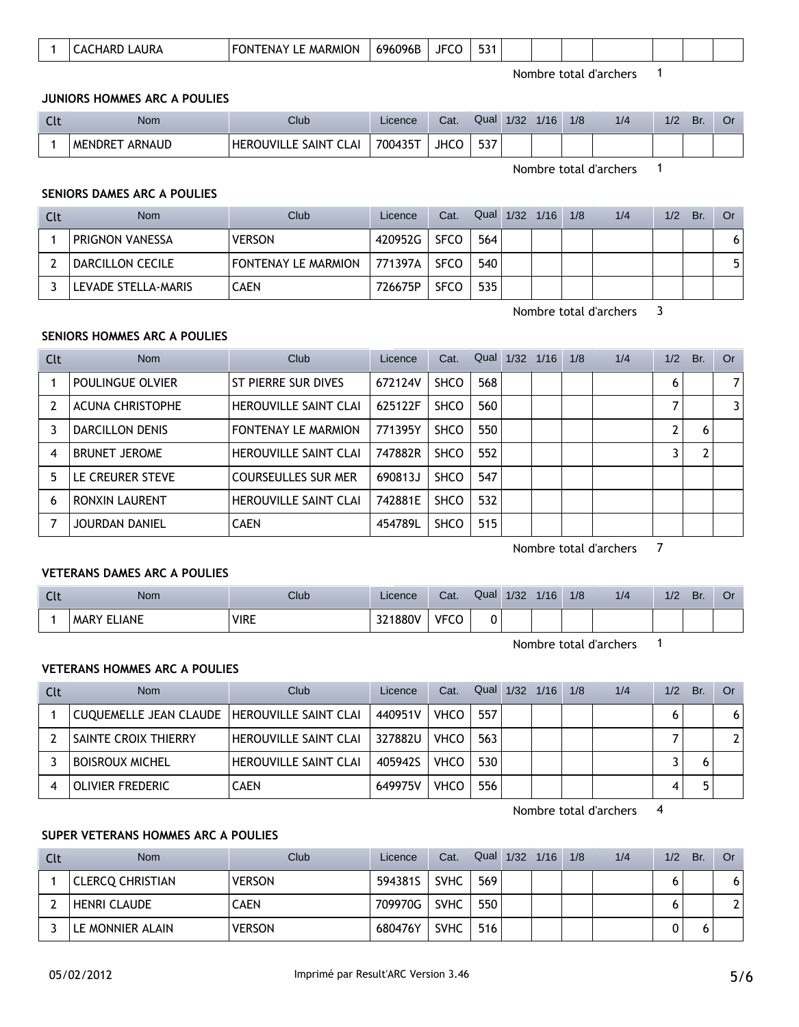|--|

Nombre total d'archers 1

#### **JUNIORS HOMMES ARC A POULIES**

| <b>Clt</b> | Nom               | Club                             | Licence | Cat. | Qual | 1/32 | 1/16 | 1/8 | 1/4 | 1/2 | Br. |  |
|------------|-------------------|----------------------------------|---------|------|------|------|------|-----|-----|-----|-----|--|
|            | ARNAUD<br>MENDRET | <b>HEROUVILLE SAINT</b><br>CI AI | 700435T | JHCO | 537  |      |      |     |     |     |     |  |

Nombre total d'archers 1

## **SENIORS DAMES ARC A POULIES**

| Clt | Nom                 | Club                       | Licence  | Cat.        | Qual 1/32 1/16 |  | 1/8 | 1/4 | 1/2 | Br. | Or |
|-----|---------------------|----------------------------|----------|-------------|----------------|--|-----|-----|-----|-----|----|
|     | PRIGNON VANESSA     | <b>VERSON</b>              | 420952G  | <b>SFCO</b> | 564            |  |     |     |     |     |    |
|     | DARCILLON CECILE    | <b>FONTENAY LE MARMION</b> | ⊺771397A | <b>SFCO</b> | 540            |  |     |     |     |     |    |
|     | LEVADE STELLA-MARIS | <b>CAEN</b>                | 726675P  | <b>SFCO</b> | 535            |  |     |     |     |     |    |

Nombre total d'archers 3

## **SENIORS HOMMES ARC A POULIES**

| Clt | <b>Nom</b>              | Club                         | Licence | Cat.        | Qual | 1/32 | 1/16 | 1/8 | 1/4 | 1/2 | Br. | 0r             |
|-----|-------------------------|------------------------------|---------|-------------|------|------|------|-----|-----|-----|-----|----------------|
|     | POULINGUE OLVIER        | ST PIERRE SUR DIVES          | 672124V | <b>SHCO</b> | 568  |      |      |     |     | 6   |     | $\overline{7}$ |
|     | <b>ACUNA CHRISTOPHE</b> | <b>HEROUVILLE SAINT CLAI</b> | 625122F | <b>SHCO</b> | 560  |      |      |     |     |     |     | 3              |
|     | <b>DARCILLON DENIS</b>  | <b>FONTENAY LE MARMION</b>   | 771395Y | <b>SHCO</b> | 550  |      |      |     |     |     | 6   |                |
| 4   | <b>BRUNET JEROME</b>    | <b>HEROUVILLE SAINT CLAI</b> | 747882R | <b>SHCO</b> | 552  |      |      |     |     |     |     |                |
| 5.  | LE CREURER STEVE        | <b>COURSEULLES SUR MER</b>   | 690813J | <b>SHCO</b> | 547  |      |      |     |     |     |     |                |
| 6   | <b>RONXIN LAURENT</b>   | <b>HEROUVILLE SAINT CLAI</b> | 742881E | <b>SHCO</b> | 532  |      |      |     |     |     |     |                |
|     | JOURDAN DANIEL          | <b>CAEN</b>                  | 454789L | <b>SHCO</b> | 515  |      |      |     |     |     |     |                |

Nombre total d'archers 7

## **VETERANS DAMES ARC A POULIES**

| $-0$ | Nom                    | Club        | Licence | $\sim$<br>Ual.    | Qual | 1/32 | 1/16 | 1/8 | 1/4 | 1/2 | Br. | Öľ |
|------|------------------------|-------------|---------|-------------------|------|------|------|-----|-----|-----|-----|----|
|      | LIANE<br>MARY<br>_____ | <b>VIRE</b> | 321880V | <b>VECC</b><br>ັບ | 0    |      |      |     |     |     |     |    |

Nombre total d'archers 1

### **VETERANS HOMMES ARC A POULIES**

| Clt | <b>Nom</b>                                     | Club                         | Licence | Cat.        | Qual | $1/32$ $1/16$ | 1/8 | 1/4 | 1/2 | Br. | Or                    |
|-----|------------------------------------------------|------------------------------|---------|-------------|------|---------------|-----|-----|-----|-----|-----------------------|
|     | CUQUEMELLE JEAN CLAUDE   HEROUVILLE SAINT CLAI |                              | 440951V | <b>VHCO</b> | 557  |               |     |     |     |     | 6                     |
|     | SAINTE CROIX THIERRY                           | HEROUVILLE SAINT CLAI        | 327882U | <b>VHCO</b> | 563  |               |     |     |     |     | $\mathbf{2}^{\prime}$ |
|     | <b>BOISROUX MICHEL</b>                         | <b>HEROUVILLE SAINT CLAI</b> | 405942S | <b>VHCO</b> | 530  |               |     |     |     |     |                       |
|     | OLIVIER FREDERIC                               | <b>CAEN</b>                  | 649975V | <b>VHCO</b> | 556  |               |     |     |     |     |                       |

Nombre total d'archers 4

#### **SUPER VETERANS HOMMES ARC A POULIES**

| Clt | <b>Nom</b>              | Club          | Licence | Cat.        | Qual | $1/32$ $1/16$ | 1/8 | 1/4 | 1/2 | Br. | Or |
|-----|-------------------------|---------------|---------|-------------|------|---------------|-----|-----|-----|-----|----|
|     | <b>CLERCO CHRISTIAN</b> | <b>VERSON</b> | 594381S | <b>SVHC</b> | 569  |               |     |     |     |     |    |
|     | <b>HENRI CLAUDE</b>     | CAEN          | 709970G | <b>SVHC</b> | 550  |               |     |     |     |     |    |
|     | LE MONNIER ALAIN        | <b>VERSON</b> | 680476Y | <b>SVHC</b> | 516  |               |     |     |     |     |    |